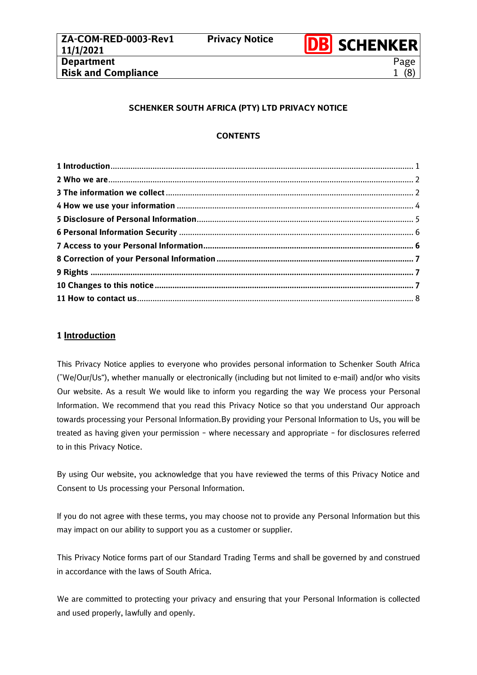

# **SCHENKER SOUTH AFRICA (PTY) LTD PRIVACY NOTICE**

## **CONTENTS**

# <span id="page-0-0"></span>**1 Introduction**

This Privacy Notice applies to everyone who provides personal information to Schenker South Africa (˝We/Our/Us"), whether manually or electronically (including but not limited to e-mail) and/or who visits Our website. As a result We would like to inform you regarding the way We process your Personal Information. We recommend that you read this Privacy Notice so that you understand Our approach towards processing your Personal Information.By providing your Personal Information to Us, you will be treated as having given your permission – where necessary and appropriate – for disclosures referred to in this Privacy Notice.

By using Our website, you acknowledge that you have reviewed the terms of this Privacy Notice and Consent to Us processing your Personal Information.

If you do not agree with these terms, you may choose not to provide any Personal Information but this may impact on our ability to support you as a customer or supplier.

This Privacy Notice forms part of our Standard Trading Terms and shall be governed by and construed in accordance with the laws of South Africa.

We are committed to protecting your privacy and ensuring that your Personal Information is collected and used properly, lawfully and openly.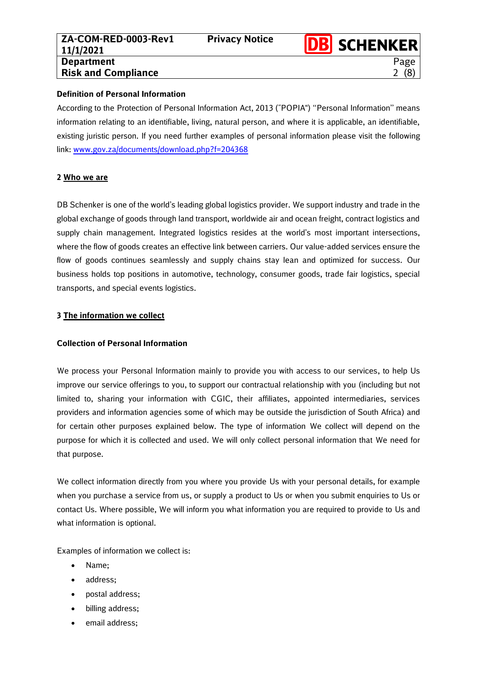Page 2 (8)

#### **Definition of Personal Information**

According to the Protection of Personal Information Act, 2013 (˝POPIA") ''Personal Information'' means information relating to an identifiable, living, natural person, and where it is applicable, an identifiable, existing juristic person. If you need further examples of personal information please visit the following link: [www.gov.za/documents/download.php?f=204368](http://www.gov.za/documents/download.php?f=204368)

### <span id="page-1-0"></span>**2 Who we are**

DB Schenker is one of the world's leading global logistics provider. We support industry and trade in the global exchange of goods through land transport, worldwide air and ocean freight, contract logistics and supply chain management. Integrated logistics resides at the world's most important intersections, where the flow of goods creates an effective link between carriers. Our value-added services ensure the flow of goods continues seamlessly and supply chains stay lean and optimized for success. Our business holds top positions in automotive, technology, consumer goods, trade fair logistics, special transports, and special events logistics.

### <span id="page-1-1"></span>**3 The information we collect**

# **Collection of Personal Information**

We process your Personal Information mainly to provide you with access to our services, to help Us improve our service offerings to you, to support our contractual relationship with you (including but not limited to, sharing your information with CGIC, their affiliates, appointed intermediaries, services providers and information agencies some of which may be outside the jurisdiction of South Africa) and for certain other purposes explained below. The type of information We collect will depend on the purpose for which it is collected and used. We will only collect personal information that We need for that purpose.

We collect information directly from you where you provide Us with your personal details, for example when you purchase a service from us, or supply a product to Us or when you submit enquiries to Us or contact Us. Where possible, We will inform you what information you are required to provide to Us and what information is optional.

Examples of information we collect is:

- Name;
- address;
- postal address;
- billing address;
- email address;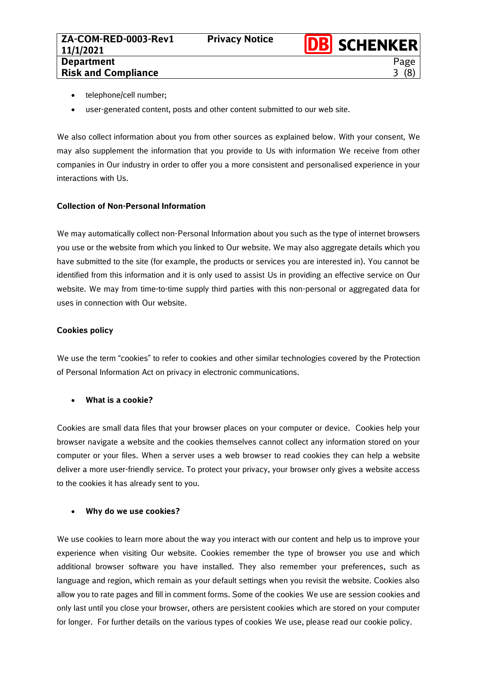- telephone/cell number;
- user-generated content, posts and other content submitted to our web site.

We also collect information about you from other sources as explained below. With your consent, We may also supplement the information that you provide to Us with information We receive from other companies in Our industry in order to offer you a more consistent and personalised experience in your interactions with Us.

### **Collection of Non-Personal Information**

We may automatically collect non-Personal Information about you such as the type of internet browsers you use or the website from which you linked to Our website. We may also aggregate details which you have submitted to the site (for example, the products or services you are interested in). You cannot be identified from this information and it is only used to assist Us in providing an effective service on Our website. We may from time-to-time supply third parties with this non-personal or aggregated data for uses in connection with Our website.

### **Cookies policy**

We use the term "cookies" to refer to cookies and other similar technologies covered by the Protection of Personal Information Act on privacy in electronic communications.

#### • **What is a cookie?**

Cookies are small data files that your browser places on your computer or device. Cookies help your browser navigate a website and the cookies themselves cannot collect any information stored on your computer or your files. When a server uses a web browser to read cookies they can help a website deliver a more user-friendly service. To protect your privacy, your browser only gives a website access to the cookies it has already sent to you.

#### • **Why do we use cookies?**

We use cookies to learn more about the way you interact with our content and help us to improve your experience when visiting Our website. Cookies remember the type of browser you use and which additional browser software you have installed. They also remember your preferences, such as language and region, which remain as your default settings when you revisit the website. Cookies also allow you to rate pages and fill in comment forms. Some of the cookies We use are session cookies and only last until you close your browser, others are persistent cookies which are stored on your computer for longer. For further details on the various types of cookies We use, please read our [cookie policy.](http://www.shell.com/zaf/about-our-website/privacy-policy/cookie-policy/cookie-type.html)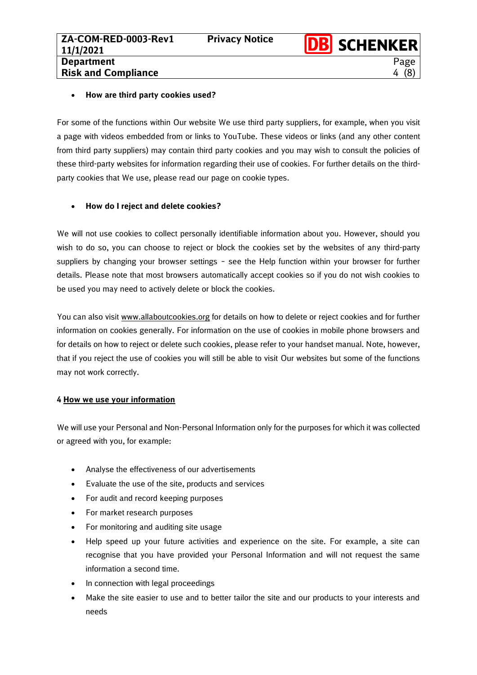Page 4 (8)

#### • **How are third party cookies used?**

For some of the functions within Our website We use third party suppliers, for example, when you visit a page with videos embedded from or links to YouTube. These videos or links (and any other content from third party suppliers) may contain third party cookies and you may wish to consult the policies of these third-party websites for information regarding their use of cookies. For further details on the thirdparty cookies that We use, please read our page on [cookie types.](http://www.shell.com/zaf/about-our-website/privacy-policy/cookie-policy/cookie-type.html)

# • **How do I reject and delete cookies?**

We will not use cookies to collect personally identifiable information about you. However, should you wish to do so, you can choose to reject or block the cookies set by the websites of any third-party suppliers by changing your browser settings – see the Help function within your browser for further details. Please note that most browsers automatically accept cookies so if you do not wish cookies to be used you may need to actively delete or block the cookies.

You can also visit [www.allaboutcookies.org](http://www.allaboutcookies.org/) for details on how to delete or reject cookies and for further information on cookies generally. For information on the use of cookies in mobile phone browsers and for details on how to reject or delete such cookies, please refer to your handset manual. Note, however, that if you reject the use of cookies you will still be able to visit Our websites but some of the functions may not work correctly.

#### <span id="page-3-0"></span>**4 How we use your information**

We will use your Personal and Non-Personal Information only for the purposes for which it was collected or agreed with you, for example:

- Analyse the effectiveness of our advertisements
- Evaluate the use of the site, products and services
- For audit and record keeping purposes
- For market research purposes
- For monitoring and auditing site usage
- Help speed up your future activities and experience on the site. For example, a site can recognise that you have provided your Personal Information and will not request the same information a second time.
- In connection with legal proceedings
- Make the site easier to use and to better tailor the site and our products to your interests and needs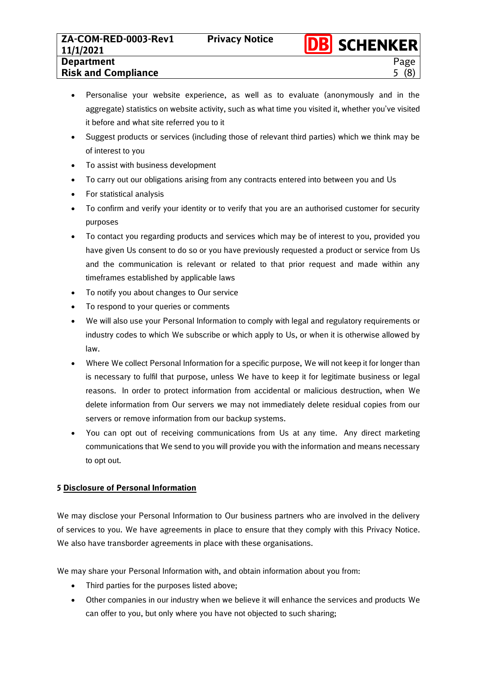Page 5 (8)

- Suggest products or services (including those of relevant third parties) which we think may be of interest to you
- To assist with business development
- To carry out our obligations arising from any contracts entered into between you and Us
- For statistical analysis
- To confirm and verify your identity or to verify that you are an authorised customer for security purposes
- To contact you regarding products and services which may be of interest to you, provided you have given Us consent to do so or you have previously requested a product or service from Us and the communication is relevant or related to that prior request and made within any timeframes established by applicable laws
- To notify you about changes to Our service
- To respond to your queries or comments
- We will also use your Personal Information to comply with legal and regulatory requirements or industry codes to which We subscribe or which apply to Us, or when it is otherwise allowed by law.
- Where We collect Personal Information for a specific purpose, We will not keep it for longer than is necessary to fulfil that purpose, unless We have to keep it for legitimate business or legal reasons. In order to protect information from accidental or malicious destruction, when We delete information from Our servers we may not immediately delete residual copies from our servers or remove information from our backup systems.
- You can opt out of receiving communications from Us at any time. Any direct marketing communications that We send to you will provide you with the information and means necessary to opt out.

# <span id="page-4-0"></span>**5 Disclosure of Personal Information**

We may disclose your Personal Information to Our business partners who are involved in the delivery of services to you. We have agreements in place to ensure that they comply with this Privacy Notice. We also have transborder agreements in place with these organisations.

We may share your Personal Information with, and obtain information about you from:

- Third parties for the purposes listed above;
- Other companies in our industry when we believe it will enhance the services and products We can offer to you, but only where you have not objected to such sharing;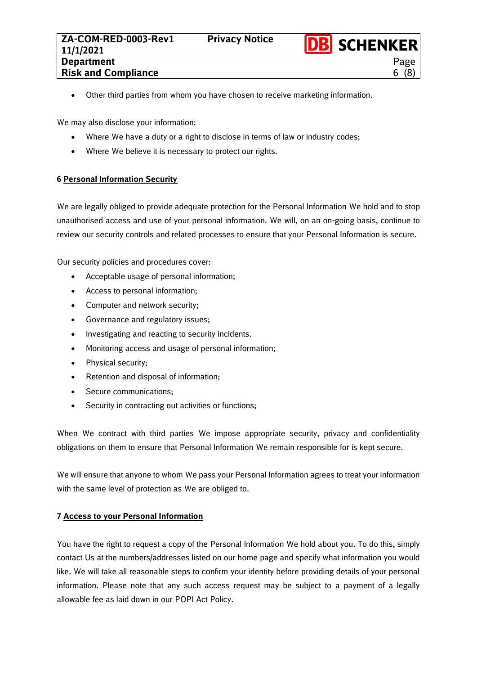6 (8)

• Other third parties from whom you have chosen to receive marketing information.

We may also disclose your information:

- Where We have a duty or a right to disclose in terms of law or industry codes;
- Where We believe it is necessary to protect our rights.

### <span id="page-5-0"></span>**6 Personal Information Security**

We are legally obliged to provide adequate protection for the Personal Information We hold and to stop unauthorised access and use of your personal information. We will, on an on-going basis, continue to review our security controls and related processes to ensure that your Personal Information is secure.

Our security policies and procedures cover:

- Acceptable usage of personal information;
- Access to personal information;
- Computer and network security;
- Governance and regulatory issues;
- Investigating and reacting to security incidents.
- Monitoring access and usage of personal information;
- Physical security;
- Retention and disposal of information;
- Secure communications:
- Security in contracting out activities or functions;

When We contract with third parties We impose appropriate security, privacy and confidentiality obligations on them to ensure that Personal Information We remain responsible for is kept secure.

We will ensure that anyone to whom We pass your Personal Information agrees to treat your information with the same level of protection as We are obliged to.

#### <span id="page-5-1"></span>**7 Access to your Personal Information**

You have the right to request a copy of the Personal Information We hold about you. To do this, simply contact Us at the numbers/addresses listed on our home page and specify what information you would like. We will take all reasonable steps to confirm your identity before providing details of your personal information. Please note that any such access request may be subject to a payment of a legally allowable fee as laid down in our POPI Act Policy.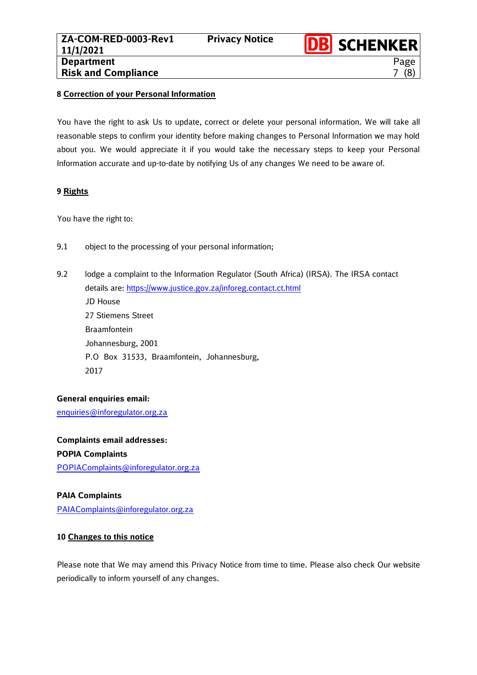Page 7 (8)

#### <span id="page-6-0"></span>**8 Correction of your Personal Information**

You have the right to ask Us to update, correct or delete your personal information. We will take all reasonable steps to confirm your identity before making changes to Personal Information we may hold about you. We would appreciate it if you would take the necessary steps to keep your Personal Information accurate and up-to-date by notifying Us of any changes We need to be aware of.

### <span id="page-6-1"></span>**9 Rights**

You have the right to:

- 9.1 object to the processing of your personal information;
- 9.2 lodge a complaint to the Information Regulator (South Africa) (IRSA). The IRSA contact details are: <https://www.justice.gov.za/inforeg.contact.ct.html> JD House 27 Stiemens Street Braamfontein Johannesburg, 2001 P.O Box 31533, Braamfontein, Johannesburg, 2017

# **General enquiries email:**

[enquiries@inforegulator.org.za](mailto:enquiries@inforegulator.org.za)

**Complaints email addresses: POPIA Complaints** [POPIAComplaints@inforegulator.org.za](mailto:POPIAComplaints@inforegulator.org.za) 

# **PAIA Complaints**

[PAIAComplaints@inforegulator.org.za](mailto:PAIAComplaints@inforegulator.org.za)

# <span id="page-6-2"></span>**10 Changes to this notice**

Please note that We may amend this Privacy Notice from time to time. Please also check Our website periodically to inform yourself of any changes.